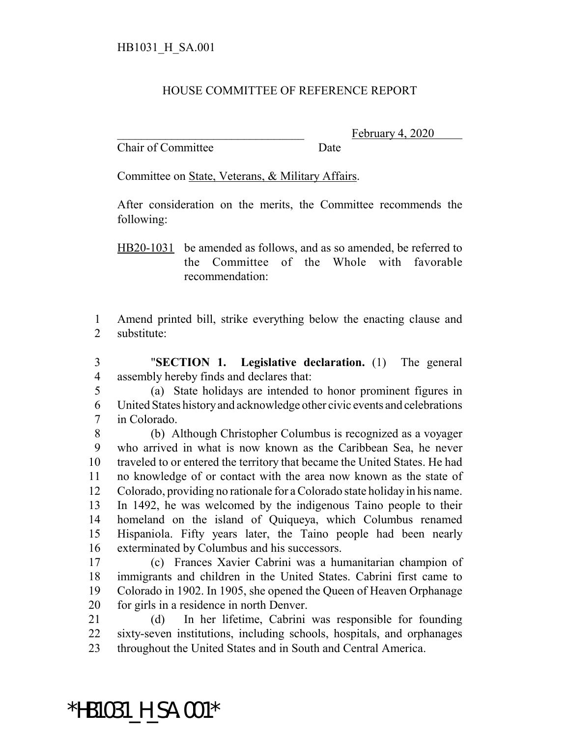## HOUSE COMMITTEE OF REFERENCE REPORT

Chair of Committee Date

February 4,

Committee on State, Veterans, & Military Affairs.

After consideration on the merits, the Committee recommends the following:

HB20-1031 be amended as follows, and as so amended, be referred to the Committee of the Whole with favorable recommendation:

 Amend printed bill, strike everything below the enacting clause and substitute:

 "**SECTION 1. Legislative declaration.** (1) The general assembly hereby finds and declares that:

 (a) State holidays are intended to honor prominent figures in United States history and acknowledge other civic events and celebrations in Colorado.

 (b) Although Christopher Columbus is recognized as a voyager who arrived in what is now known as the Caribbean Sea, he never traveled to or entered the territory that became the United States. He had no knowledge of or contact with the area now known as the state of Colorado, providing no rationale for a Colorado state holiday in his name. In 1492, he was welcomed by the indigenous Taino people to their homeland on the island of Quiqueya, which Columbus renamed Hispaniola. Fifty years later, the Taino people had been nearly exterminated by Columbus and his successors.

 (c) Frances Xavier Cabrini was a humanitarian champion of immigrants and children in the United States. Cabrini first came to Colorado in 1902. In 1905, she opened the Queen of Heaven Orphanage for girls in a residence in north Denver.

 (d) In her lifetime, Cabrini was responsible for founding sixty-seven institutions, including schools, hospitals, and orphanages throughout the United States and in South and Central America.

\*HB1031\_H\_SA.001\*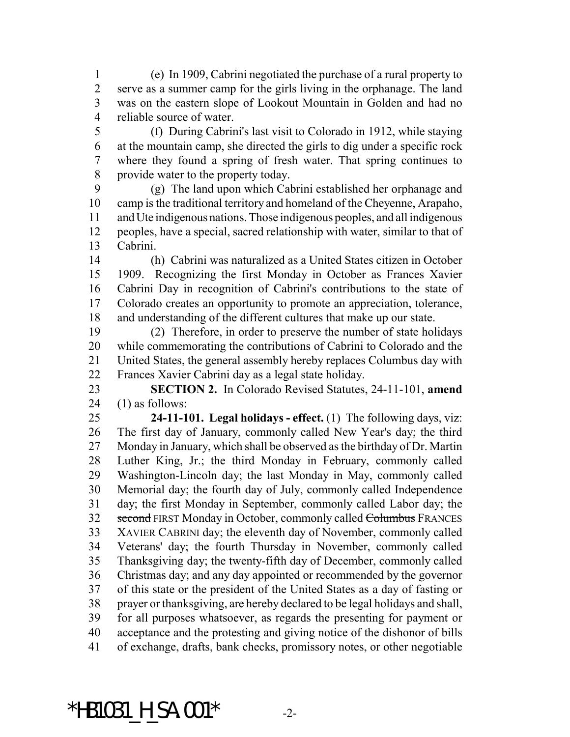(e) In 1909, Cabrini negotiated the purchase of a rural property to serve as a summer camp for the girls living in the orphanage. The land was on the eastern slope of Lookout Mountain in Golden and had no reliable source of water.

 (f) During Cabrini's last visit to Colorado in 1912, while staying at the mountain camp, she directed the girls to dig under a specific rock where they found a spring of fresh water. That spring continues to provide water to the property today.

 (g) The land upon which Cabrini established her orphanage and camp is the traditional territory and homeland of the Cheyenne, Arapaho, and Ute indigenous nations. Those indigenous peoples, and all indigenous peoples, have a special, sacred relationship with water, similar to that of Cabrini.

 (h) Cabrini was naturalized as a United States citizen in October 1909. Recognizing the first Monday in October as Frances Xavier Cabrini Day in recognition of Cabrini's contributions to the state of Colorado creates an opportunity to promote an appreciation, tolerance, and understanding of the different cultures that make up our state.

 (2) Therefore, in order to preserve the number of state holidays while commemorating the contributions of Cabrini to Colorado and the United States, the general assembly hereby replaces Columbus day with Frances Xavier Cabrini day as a legal state holiday.

 **SECTION 2.** In Colorado Revised Statutes, 24-11-101, **amend** (1) as follows:

 **24-11-101. Legal holidays - effect.** (1) The following days, viz: The first day of January, commonly called New Year's day; the third Monday in January, which shall be observed as the birthday of Dr. Martin Luther King, Jr.; the third Monday in February, commonly called Washington-Lincoln day; the last Monday in May, commonly called Memorial day; the fourth day of July, commonly called Independence day; the first Monday in September, commonly called Labor day; the 32 second FIRST Monday in October, commonly called Columbus FRANCES XAVIER CABRINI day; the eleventh day of November, commonly called Veterans' day; the fourth Thursday in November, commonly called Thanksgiving day; the twenty-fifth day of December, commonly called Christmas day; and any day appointed or recommended by the governor of this state or the president of the United States as a day of fasting or prayer or thanksgiving, are hereby declared to be legal holidays and shall, for all purposes whatsoever, as regards the presenting for payment or acceptance and the protesting and giving notice of the dishonor of bills of exchange, drafts, bank checks, promissory notes, or other negotiable

\*HB1031 H SA.001\*  $-2$ -